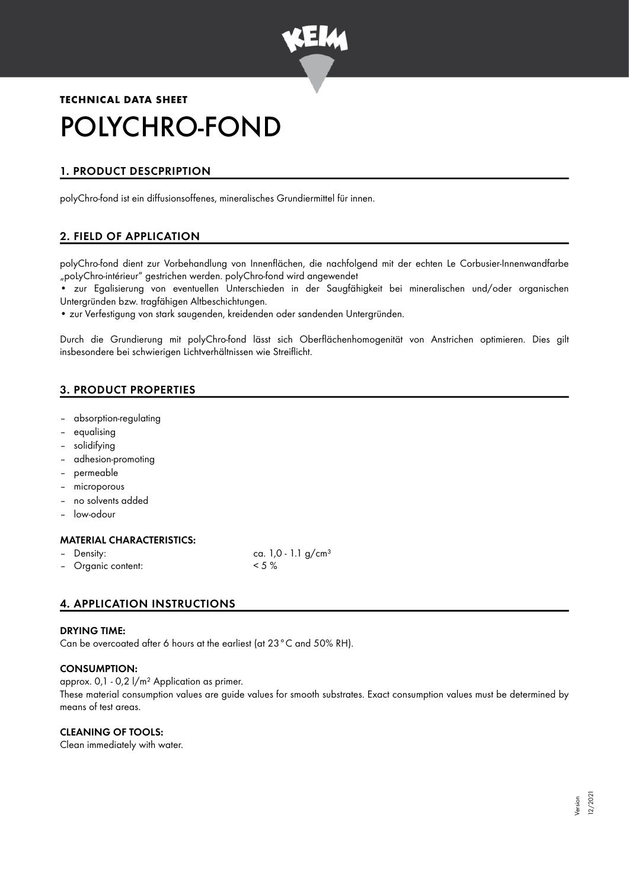

# **TECHNICAL DATA SHEET** POLYCHRO-FOND

# 1. PRODUCT DESCPRIPTION

polyChro-fond ist ein diffusionsoffenes, mineralisches Grundiermittel für innen.

# 2. FIELD OF APPLICATION

polyChro-fond dient zur Vorbehandlung von Innenflächen, die nachfolgend mit der echten Le Corbusier-Innenwandfarbe "poLyChro-intérieur" gestrichen werden. polyChro-fond wird angewendet

• zur Egalisierung von eventuellen Unterschieden in der Saugfähigkeit bei mineralischen und/oder organischen Untergründen bzw. tragfähigen Altbeschichtungen.

• zur Verfestigung von stark saugenden, kreidenden oder sandenden Untergründen.

Durch die Grundierung mit polyChro-fond lässt sich Oberflächenhomogenität von Anstrichen optimieren. Dies gilt insbesondere bei schwierigen Lichtverhältnissen wie Streiflicht.

# 3. PRODUCT PROPERTIES

- absorption-regulating
- equalising
- solidifying
- adhesion-promoting
- permeable
- microporous
- no solvents added
- low-odour

# MATERIAL CHARACTERISTICS:

– Density: ca. 1,0 - 1.1 g/cm<sup>3</sup> – Organic content: < 5 %

# 4. APPLICATION INSTRUCTIONS

# DRYING TIME:

Can be overcoated after 6 hours at the earliest (at 23°C and 50% RH).

# CONSUMPTION:

approx. 0,1 - 0,2 l/m² Application as primer.

These material consumption values are guide values for smooth substrates. Exact consumption values must be determined by means of test areas.

# CLEANING OF TOOLS:

Clean immediately with water.